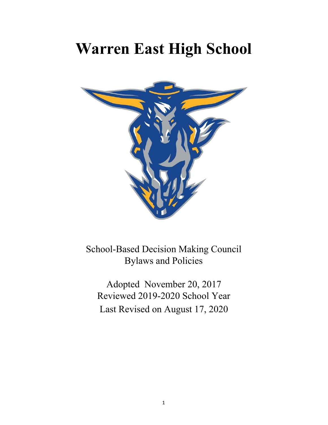# **Warren East High School**



School-Based Decision Making Council Bylaws and Policies

Adopted November 20, 2017 Reviewed 2019-2020 School Year Last Revised on August 17, 2020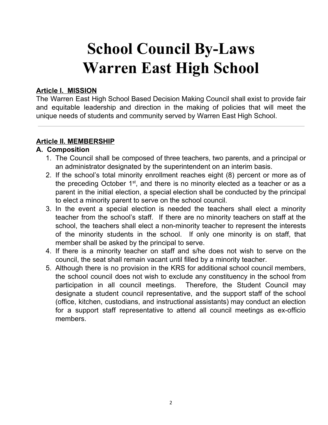# **School Council By-Laws Warren East High School**

#### **Article I. MISSION**

The Warren East High School Based Decision Making Council shall exist to provide fair and equitable leadership and direction in the making of policies that will meet the unique needs of students and community served by Warren East High School.

#### **Article II. MEMBERSHIP**

#### **A. Composition**

- 1. The Council shall be composed of three teachers, two parents, and a principal or an administrator designated by the superintendent on an interim basis.
- 2. If the school's total minority enrollment reaches eight (8) percent or more as of the preceding October  $1<sup>st</sup>$ , and there is no minority elected as a teacher or as a parent in the initial election, a special election shall be conducted by the principal to elect a minority parent to serve on the school council.
- 3. In the event a special election is needed the teachers shall elect a minority teacher from the school's staff. If there are no minority teachers on staff at the school, the teachers shall elect a non-minority teacher to represent the interests of the minority students in the school. If only one minority is on staff, that member shall be asked by the principal to serve.
- 4. If there is a minority teacher on staff and s/he does not wish to serve on the council, the seat shall remain vacant until filled by a minority teacher.
- 5. Although there is no provision in the KRS for additional school council members, the school council does not wish to exclude any constituency in the school from participation in all council meetings. Therefore, the Student Council may designate a student council representative, and the support staff of the school (office, kitchen, custodians, and instructional assistants) may conduct an election for a support staff representative to attend all council meetings as ex-officio members.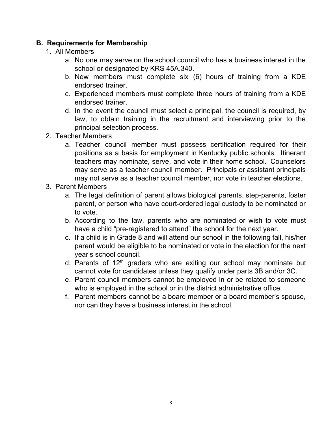# **B. Requirements for Membership**

- 1. All Members
	- a. No one may serve on the school council who has a business interest in the school or designated by KRS 45A.340.
	- b. New members must complete six (6) hours of training from a KDE endorsed trainer.
	- c. Experienced members must complete three hours of training from a KDE endorsed trainer.
	- d. In the event the council must select a principal, the council is required, by law, to obtain training in the recruitment and interviewing prior to the principal selection process.
- 2. Teacher Members
	- a. Teacher council member must possess certification required for their positions as a basis for employment in Kentucky public schools. Itinerant teachers may nominate, serve, and vote in their home school. Counselors may serve as a teacher council member. Principals or assistant principals may not serve as a teacher council member, nor vote in teacher elections.
- 3. Parent Members
	- a. The legal definition of parent allows biological parents, step-parents, foster parent, or person who have court-ordered legal custody to be nominated or to vote.
	- b. According to the law, parents who are nominated or wish to vote must have a child "pre-registered to attend" the school for the next year.
	- c. If a child is in Grade 8 and will attend our school in the following fall, his/her parent would be eligible to be nominated or vote in the election for the next year's school council.
	- d. Parents of 12<sup>th</sup> graders who are exiting our school may nominate but cannot vote for candidates unless they qualify under parts 3B and/or 3C.
	- e. Parent council members cannot be employed in or be related to someone who is employed in the school or in the district administrative office.
	- f. Parent members cannot be a board member or a board member's spouse, nor can they have a business interest in the school.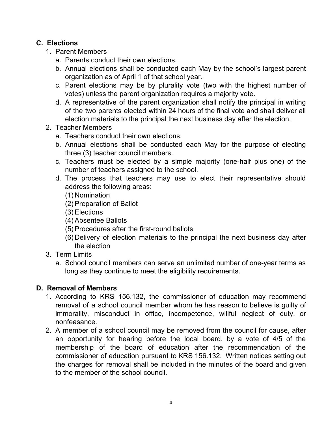# **C. Elections**

- 1. Parent Members
	- a. Parents conduct their own elections.
	- b. Annual elections shall be conducted each May by the school's largest parent organization as of April 1 of that school year.
	- c. Parent elections may be by plurality vote (two with the highest number of votes) unless the parent organization requires a majority vote.
	- d. A representative of the parent organization shall notify the principal in writing of the two parents elected within 24 hours of the final vote and shall deliver all election materials to the principal the next business day after the election.
- 2. Teacher Members
	- a. Teachers conduct their own elections.
	- b. Annual elections shall be conducted each May for the purpose of electing three (3) teacher council members.
	- c. Teachers must be elected by a simple majority (one-half plus one) of the number of teachers assigned to the school.
	- d. The process that teachers may use to elect their representative should address the following areas:
		- (1) Nomination
		- (2)Preparation of Ballot
		- (3)Elections
		- (4)Absentee Ballots
		- (5)Procedures after the first-round ballots
		- (6) Delivery of election materials to the principal the next business day after the election
- 3. Term Limits
	- a. School council members can serve an unlimited number of one-year terms as long as they continue to meet the eligibility requirements.

# **D. Removal of Members**

- 1. According to KRS 156.132, the commissioner of education may recommend removal of a school council member whom he has reason to believe is guilty of immorality, misconduct in office, incompetence, willful neglect of duty, or nonfeasance.
- 2. A member of a school council may be removed from the council for cause, after an opportunity for hearing before the local board, by a vote of 4/5 of the membership of the board of education after the recommendation of the commissioner of education pursuant to KRS 156.132. Written notices setting out the charges for removal shall be included in the minutes of the board and given to the member of the school council.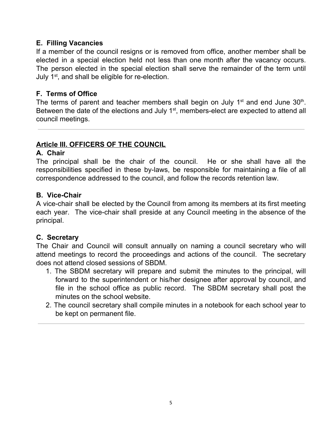## **E. Filling Vacancies**

If a member of the council resigns or is removed from office, another member shall be elected in a special election held not less than one month after the vacancy occurs. The person elected in the special election shall serve the remainder of the term until July 1<sup>st</sup>, and shall be eligible for re-election.

## **F. Terms of Office**

The terms of parent and teacher members shall begin on July  $1<sup>st</sup>$  and end June  $30<sup>th</sup>$ . Between the date of the elections and July 1<sup>st</sup>, members-elect are expected to attend all council meetings.

# **Article III. OFFICERS OF THE COUNCIL**

#### **A. Chair**

The principal shall be the chair of the council. He or she shall have all the responsibilities specified in these by-laws, be responsible for maintaining a file of all correspondence addressed to the council, and follow the records retention law.

#### **B. Vice-Chair**

A vice-chair shall be elected by the Council from among its members at its first meeting each year. The vice-chair shall preside at any Council meeting in the absence of the principal.

# **C. Secretary**

The Chair and Council will consult annually on naming a council secretary who will attend meetings to record the proceedings and actions of the council. The secretary does not attend closed sessions of SBDM.

- 1. The SBDM secretary will prepare and submit the minutes to the principal, will forward to the superintendent or his/her designee after approval by council, and file in the school office as public record. The SBDM secretary shall post the minutes on the school website.
- 2. The council secretary shall compile minutes in a notebook for each school year to be kept on permanent file.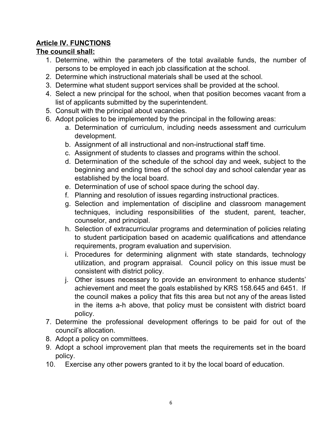# **Article IV. FUNCTIONS**

# **The council shall:**

- 1. Determine, within the parameters of the total available funds, the number of persons to be employed in each job classification at the school.
- 2. Determine which instructional materials shall be used at the school.
- 3. Determine what student support services shall be provided at the school.
- 4. Select a new principal for the school, when that position becomes vacant from a list of applicants submitted by the superintendent.
- 5. Consult with the principal about vacancies.
- 6. Adopt policies to be implemented by the principal in the following areas:
	- a. Determination of curriculum, including needs assessment and curriculum development.
	- b. Assignment of all instructional and non-instructional staff time.
	- c. Assignment of students to classes and programs within the school.
	- d. Determination of the schedule of the school day and week, subject to the beginning and ending times of the school day and school calendar year as established by the local board.
	- e. Determination of use of school space during the school day.
	- f. Planning and resolution of issues regarding instructional practices.
	- g. Selection and implementation of discipline and classroom management techniques, including responsibilities of the student, parent, teacher, counselor, and principal.
	- h. Selection of extracurricular programs and determination of policies relating to student participation based on academic qualifications and attendance requirements, program evaluation and supervision.
	- i. Procedures for determining alignment with state standards, technology utilization, and program appraisal. Council policy on this issue must be consistent with district policy.
	- j. Other issues necessary to provide an environment to enhance students' achievement and meet the goals established by KRS 158.645 and 6451. If the council makes a policy that fits this area but not any of the areas listed in the items a-h above, that policy must be consistent with district board policy.
- 7. Determine the professional development offerings to be paid for out of the council's allocation.
- 8. Adopt a policy on committees.
- 9. Adopt a school improvement plan that meets the requirements set in the board policy.
- 10. Exercise any other powers granted to it by the local board of education.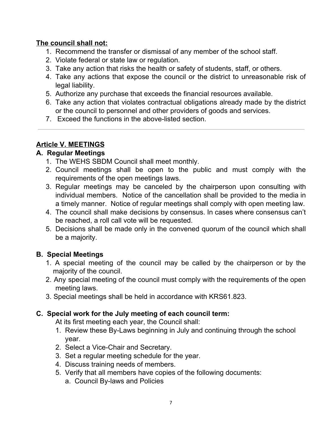# **The council shall not:**

- 1. Recommend the transfer or dismissal of any member of the school staff.
- 2. Violate federal or state law or regulation.
- 3. Take any action that risks the health or safety of students, staff, or others.
- 4. Take any actions that expose the council or the district to unreasonable risk of legal liability.
- 5. Authorize any purchase that exceeds the financial resources available.
- 6. Take any action that violates contractual obligations already made by the district or the council to personnel and other providers of goods and services.
- 7. Exceed the functions in the above-listed section.

# **Article V. MEETINGS**

# **A. Regular Meetings**

- 1. The WEHS SBDM Council shall meet monthly.
- 2. Council meetings shall be open to the public and must comply with the requirements of the open meetings laws.
- 3. Regular meetings may be canceled by the chairperson upon consulting with individual members. Notice of the cancellation shall be provided to the media in a timely manner. Notice of regular meetings shall comply with open meeting law.
- 4. The council shall make decisions by consensus. In cases where consensus can't be reached, a roll call vote will be requested.
- 5. Decisions shall be made only in the convened quorum of the council which shall be a majority.

# **B. Special Meetings**

- 1. A special meeting of the council may be called by the chairperson or by the majority of the council.
- 2. Any special meeting of the council must comply with the requirements of the open meeting laws.
- 3. Special meetings shall be held in accordance with KRS61.823.

# **C. Special work for the July meeting of each council term:**

At its first meeting each year, the Council shall:

- 1. Review these By-Laws beginning in July and continuing through the school year.
- 2. Select a Vice-Chair and Secretary.
- 3. Set a regular meeting schedule for the year.
- 4. Discuss training needs of members.
- 5. Verify that all members have copies of the following documents:
	- a. Council By-laws and Policies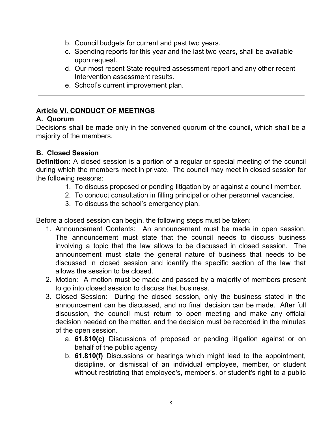- b. Council budgets for current and past two years.
- c. Spending reports for this year and the last two years, shall be available upon request.
- d. Our most recent State required assessment report and any other recent Intervention assessment results.
- e. School's current improvement plan.

# **Article VI. CONDUCT OF MEETINGS**

# **A. Quorum**

Decisions shall be made only in the convened quorum of the council, which shall be a majority of the members.

# **B. Closed Session**

**Definition:** A closed session is a portion of a regular or special meeting of the council during which the members meet in private. The council may meet in closed session for the following reasons:

- 1. To discuss proposed or pending litigation by or against a council member.
- 2. To conduct consultation in filling principal or other personnel vacancies.
- 3. To discuss the school's emergency plan.

Before a closed session can begin, the following steps must be taken:

- 1. Announcement Contents: An announcement must be made in open session. The announcement must state that the council needs to discuss business involving a topic that the law allows to be discussed in closed session. The announcement must state the general nature of business that needs to be discussed in closed session and identify the specific section of the law that allows the session to be closed.
- 2. Motion: A motion must be made and passed by a majority of members present to go into closed session to discuss that business.
- 3. Closed Session: During the closed session, only the business stated in the announcement can be discussed, and no final decision can be made. After full discussion, the council must return to open meeting and make any official decision needed on the matter, and the decision must be recorded in the minutes of the open session.
	- a. **61.810(c)** Discussions of proposed or pending litigation against or on behalf of the public agency
	- b. **61.810(f)** Discussions or hearings which might lead to the appointment, discipline, or dismissal of an individual employee, member, or student without restricting that employee's, member's, or student's right to a public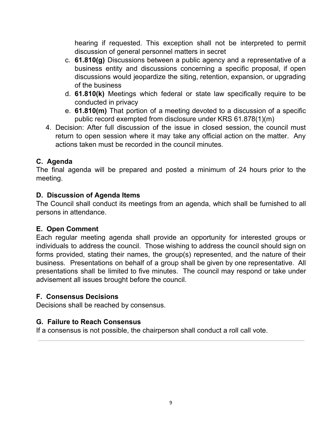hearing if requested. This exception shall not be interpreted to permit discussion of general personnel matters in secret

- c. **61.810(g)** Discussions between a public agency and a representative of a business entity and discussions concerning a specific proposal, if open discussions would jeopardize the siting, retention, expansion, or upgrading of the business
- d. **61.810(k)** Meetings which federal or state law specifically require to be conducted in privacy
- e. **61.810(m)** That portion of a meeting devoted to a discussion of a specific public record exempted from disclosure under KRS 61.878(1)(m)
- 4. Decision: After full discussion of the issue in closed session, the council must return to open session where it may take any official action on the matter. Any actions taken must be recorded in the council minutes.

# **C. Agenda**

The final agenda will be prepared and posted a minimum of 24 hours prior to the meeting.

## **D. Discussion of Agenda Items**

The Council shall conduct its meetings from an agenda, which shall be furnished to all persons in attendance.

# **E. Open Comment**

Each regular meeting agenda shall provide an opportunity for interested groups or individuals to address the council. Those wishing to address the council should sign on forms provided, stating their names, the group(s) represented, and the nature of their business. Presentations on behalf of a group shall be given by one representative. All presentations shall be limited to five minutes. The council may respond or take under advisement all issues brought before the council.

# **F. Consensus Decisions**

Decisions shall be reached by consensus.

# **G. Failure to Reach Consensus**

If a consensus is not possible, the chairperson shall conduct a roll call vote.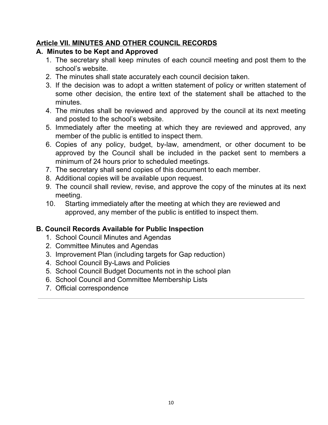# **Article VII. MINUTES AND OTHER COUNCIL RECORDS**

# **A. Minutes to be Kept and Approved**

- 1. The secretary shall keep minutes of each council meeting and post them to the school's website.
- 2. The minutes shall state accurately each council decision taken.
- 3. If the decision was to adopt a written statement of policy or written statement of some other decision, the entire text of the statement shall be attached to the minutes.
- 4. The minutes shall be reviewed and approved by the council at its next meeting and posted to the school's website.
- 5. Immediately after the meeting at which they are reviewed and approved, any member of the public is entitled to inspect them.
- 6. Copies of any policy, budget, by-law, amendment, or other document to be approved by the Council shall be included in the packet sent to members a minimum of 24 hours prior to scheduled meetings.
- 7. The secretary shall send copies of this document to each member.
- 8. Additional copies will be available upon request.
- 9. The council shall review, revise, and approve the copy of the minutes at its next meeting.
- 10. Starting immediately after the meeting at which they are reviewed and approved, any member of the public is entitled to inspect them.

# **B. Council Records Available for Public Inspection**

- 1. School Council Minutes and Agendas
- 2. Committee Minutes and Agendas
- 3. Improvement Plan (including targets for Gap reduction)
- 4. School Council By-Laws and Policies
- 5. School Council Budget Documents not in the school plan
- 6. School Council and Committee Membership Lists
- 7. Official correspondence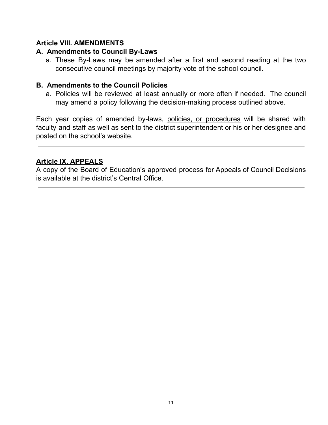# **Article VIII. AMENDMENTS**

#### **A. Amendments to Council By-Laws**

a. These By-Laws may be amended after a first and second reading at the two consecutive council meetings by majority vote of the school council.

#### **B. Amendments to the Council Policies**

a. Policies will be reviewed at least annually or more often if needed. The council may amend a policy following the decision-making process outlined above.

Each year copies of amended by-laws, policies, or procedures will be shared with faculty and staff as well as sent to the district superintendent or his or her designee and posted on the school's website.

## **Article IX. APPEALS**

A copy of the Board of Education's approved process for Appeals of Council Decisions is available at the district's Central Office.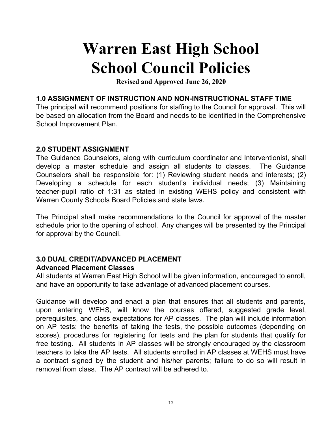# **Warren East High School School Council Policies**

**Revised and Approved June 26, 2020**

#### **1.0 ASSIGNMENT OF INSTRUCTION AND NON-INSTRUCTIONAL STAFF TIME**

The principal will recommend positions for staffing to the Council for approval. This will be based on allocation from the Board and needs to be identified in the Comprehensive School Improvement Plan.

#### **2.0 STUDENT ASSIGNMENT**

The Guidance Counselors, along with curriculum coordinator and Interventionist, shall develop a master schedule and assign all students to classes. The Guidance Counselors shall be responsible for: (1) Reviewing student needs and interests; (2) Developing a schedule for each student's individual needs; (3) Maintaining teacher-pupil ratio of 1:31 as stated in existing WEHS policy and consistent with Warren County Schools Board Policies and state laws.

The Principal shall make recommendations to the Council for approval of the master schedule prior to the opening of school. Any changes will be presented by the Principal for approval by the Council.

## **3.0 DUAL CREDIT/ADVANCED PLACEMENT Advanced Placement Classes**

All students at Warren East High School will be given information, encouraged to enroll, and have an opportunity to take advantage of advanced placement courses.

Guidance will develop and enact a plan that ensures that all students and parents, upon entering WEHS, will know the courses offered, suggested grade level, prerequisites, and class expectations for AP classes. The plan will include information on AP tests: the benefits of taking the tests, the possible outcomes (depending on scores), procedures for registering for tests and the plan for students that qualify for free testing. All students in AP classes will be strongly encouraged by the classroom teachers to take the AP tests. All students enrolled in AP classes at WEHS must have a contract signed by the student and his/her parents; failure to do so will result in removal from class. The AP contract will be adhered to.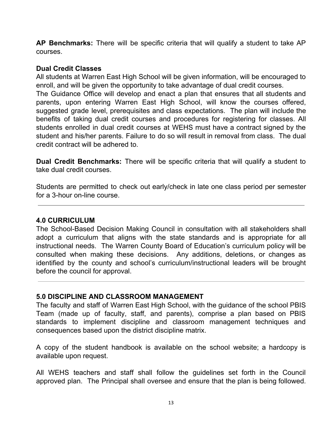**AP Benchmarks:** There will be specific criteria that will qualify a student to take AP courses.

#### **Dual Credit Classes**

All students at Warren East High School will be given information, will be encouraged to enroll, and will be given the opportunity to take advantage of dual credit courses.

The Guidance Office will develop and enact a plan that ensures that all students and parents, upon entering Warren East High School, will know the courses offered, suggested grade level, prerequisites and class expectations. The plan will include the benefits of taking dual credit courses and procedures for registering for classes. All students enrolled in dual credit courses at WEHS must have a contract signed by the student and his/her parents. Failure to do so will result in removal from class. The dual credit contract will be adhered to.

**Dual Credit Benchmarks:** There will be specific criteria that will qualify a student to take dual credit courses.

Students are permitted to check out early/check in late one class period per semester for a 3-hour on-line course.

#### **4.0 CURRICULUM**

The School-Based Decision Making Council in consultation with all stakeholders shall adopt a curriculum that aligns with the state standards and is appropriate for all instructional needs. The Warren County Board of Education's curriculum policy will be consulted when making these decisions. Any additions, deletions, or changes as identified by the county and school's curriculum/instructional leaders will be brought before the council for approval.

#### **5.0 DISCIPLINE AND CLASSROOM MANAGEMENT**

The faculty and staff of Warren East High School, with the guidance of the school PBIS Team (made up of faculty, staff, and parents), comprise a plan based on PBIS standards to implement discipline and classroom management techniques and consequences based upon the district discipline matrix.

A copy of the student handbook is available on the school website; a hardcopy is available upon request.

All WEHS teachers and staff shall follow the guidelines set forth in the Council approved plan. The Principal shall oversee and ensure that the plan is being followed.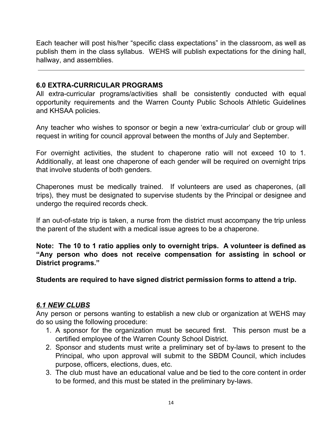Each teacher will post his/her "specific class expectations" in the classroom, as well as publish them in the class syllabus. WEHS will publish expectations for the dining hall, hallway, and assemblies.

#### **6.0 EXTRA-CURRICULAR PROGRAMS**

All extra-curricular programs/activities shall be consistently conducted with equal opportunity requirements and the Warren County Public Schools Athletic Guidelines and KHSAA policies.

Any teacher who wishes to sponsor or begin a new 'extra-curricular' club or group will request in writing for council approval between the months of July and September.

For overnight activities, the student to chaperone ratio will not exceed 10 to 1. Additionally, at least one chaperone of each gender will be required on overnight trips that involve students of both genders.

Chaperones must be medically trained. If volunteers are used as chaperones, (all trips), they must be designated to supervise students by the Principal or designee and undergo the required records check.

If an out-of-state trip is taken, a nurse from the district must accompany the trip unless the parent of the student with a medical issue agrees to be a chaperone.

**Note: The 10 to 1 ratio applies only to overnight trips. A volunteer is defined as "Any person who does not receive compensation for assisting in school or District programs."**

**Students are required to have signed district permission forms to attend a trip.**

# *6.1 NEW CLUBS*

Any person or persons wanting to establish a new club or organization at WEHS may do so using the following procedure:

- 1. A sponsor for the organization must be secured first. This person must be a certified employee of the Warren County School District.
- 2. Sponsor and students must write a preliminary set of by-laws to present to the Principal, who upon approval will submit to the SBDM Council, which includes purpose, officers, elections, dues, etc.
- 3. The club must have an educational value and be tied to the core content in order to be formed, and this must be stated in the preliminary by-laws.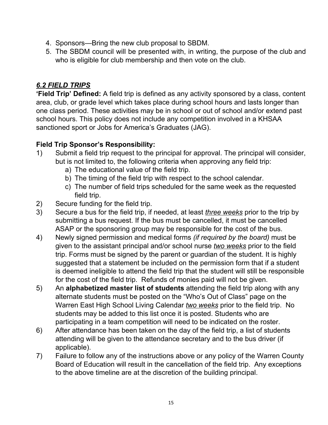- 4. Sponsors—Bring the new club proposal to SBDM.
- 5. The SBDM council will be presented with, in writing, the purpose of the club and who is eligible for club membership and then vote on the club.

# *6.2 FIELD TRIPS*

**'Field Trip' Defined:** A field trip is defined as any activity sponsored by a class, content area, club, or grade level which takes place during school hours and lasts longer than one class period. These activities may be in school or out of school and/or extend past school hours. This policy does not include any competition involved in a KHSAA sanctioned sport or Jobs for America's Graduates (JAG).

# **Field Trip Sponsor's Responsibility:**

- 1) Submit a field trip request to the principal for approval. The principal will consider, but is not limited to, the following criteria when approving any field trip:
	- a) The educational value of the field trip.
	- b) The timing of the field trip with respect to the school calendar.
	- c) The number of field trips scheduled for the same week as the requested field trip.
- 2) Secure funding for the field trip.
- 3) Secure a bus for the field trip, if needed, at least *three weeks* prior to the trip by submitting a bus request. If the bus must be cancelled, it must be cancelled ASAP or the sponsoring group may be responsible for the cost of the bus.
- 4) Newly signed permission and medical forms *(if required by the board)* must be given to the assistant principal and/or school nurse *two weeks* prior to the field trip. Forms must be signed by the parent or guardian of the student. It is highly suggested that a statement be included on the permission form that if a student is deemed ineligible to attend the field trip that the student will still be responsible for the cost of the field trip. Refunds of monies paid will not be given.
- 5) An **alphabetized master list of students** attending the field trip along with any alternate students must be posted on the "Who's Out of Class" page on the Warren East High School Living Calendar *two weeks* prior to the field trip. No students may be added to this list once it is posted. Students who are participating in a team competition will need to be indicated on the roster.
- 6) After attendance has been taken on the day of the field trip, a list of students attending will be given to the attendance secretary and to the bus driver (if applicable).
- 7) Failure to follow any of the instructions above or any policy of the Warren County Board of Education will result in the cancellation of the field trip. Any exceptions to the above timeline are at the discretion of the building principal.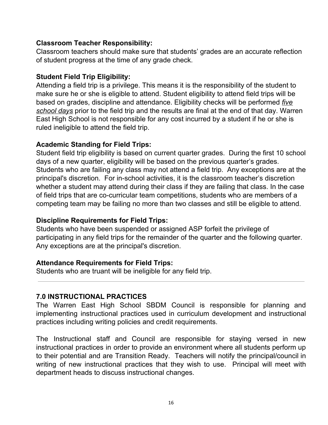#### **Classroom Teacher Responsibility:**

Classroom teachers should make sure that students' grades are an accurate reflection of student progress at the time of any grade check.

#### **Student Field Trip Eligibility:**

Attending a field trip is a privilege. This means it is the responsibility of the student to make sure he or she is eligible to attend. Student eligibility to attend field trips will be based on grades, discipline and attendance. Eligibility checks will be performed *five school days* prior to the field trip and the results are final at the end of that day. Warren East High School is not responsible for any cost incurred by a student if he or she is ruled ineligible to attend the field trip.

#### **Academic Standing for Field Trips:**

Student field trip eligibility is based on current quarter grades. During the first 10 school days of a new quarter, eligibility will be based on the previous quarter's grades. Students who are failing any class may not attend a field trip. Any exceptions are at the principal's discretion. For in-school activities, it is the classroom teacher's discretion whether a student may attend during their class if they are failing that class. In the case of field trips that are co-curricular team competitions, students who are members of a competing team may be failing no more than two classes and still be eligible to attend.

# **Discipline Requirements for Field Trips:**

Students who have been suspended or assigned ASP forfeit the privilege of participating in any field trips for the remainder of the quarter and the following quarter. Any exceptions are at the principal's discretion.

#### **Attendance Requirements for Field Trips:**

Students who are truant will be ineligible for any field trip.

# **7.0 INSTRUCTIONAL PRACTICES**

The Warren East High School SBDM Council is responsible for planning and implementing instructional practices used in curriculum development and instructional practices including writing policies and credit requirements.

The Instructional staff and Council are responsible for staying versed in new instructional practices in order to provide an environment where all students perform up to their potential and are Transition Ready. Teachers will notify the principal/council in writing of new instructional practices that they wish to use. Principal will meet with department heads to discuss instructional changes.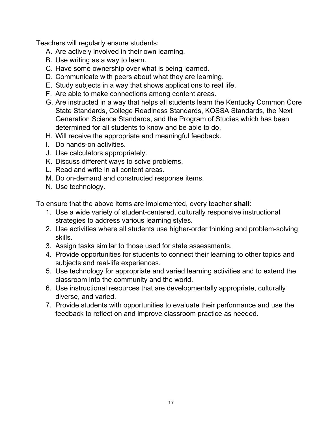Teachers will regularly ensure students:

- A. Are actively involved in their own learning.
- B. Use writing as a way to learn.
- C. Have some ownership over what is being learned.
- D. Communicate with peers about what they are learning.
- E. Study subjects in a way that shows applications to real life.
- F. Are able to make connections among content areas.
- G. Are instructed in a way that helps all students learn the Kentucky Common Core State Standards, College Readiness Standards, KOSSA Standards, the Next Generation Science Standards, and the Program of Studies which has been determined for all students to know and be able to do.
- H. Will receive the appropriate and meaningful feedback.
- I. Do hands-on activities.
- J. Use calculators appropriately.
- K. Discuss different ways to solve problems.
- L. Read and write in all content areas.
- M. Do on-demand and constructed response items.
- N. Use technology.

To ensure that the above items are implemented, every teacher **shall**:

- 1. Use a wide variety of student-centered, culturally responsive instructional strategies to address various learning styles.
- 2. Use activities where all students use higher-order thinking and problem-solving skills.
- 3. Assign tasks similar to those used for state assessments.
- 4. Provide opportunities for students to connect their learning to other topics and subjects and real-life experiences.
- 5. Use technology for appropriate and varied learning activities and to extend the classroom into the community and the world.
- 6. Use instructional resources that are developmentally appropriate, culturally diverse, and varied.
- 7. Provide students with opportunities to evaluate their performance and use the feedback to reflect on and improve classroom practice as needed.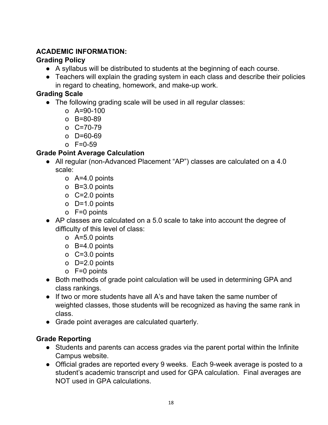# **ACADEMIC INFORMATION:**

# **Grading Policy**

- A syllabus will be distributed to students at the beginning of each course.
- Teachers will explain the grading system in each class and describe their policies in regard to cheating, homework, and make-up work.

# **Grading Scale**

- The following grading scale will be used in all regular classes:
	- o A=90-100
	- o B=80-89
	- o C=70-79
	- o D=60-69
	- o F=0-59

# **Grade Point Average Calculation**

- All regular (non-Advanced Placement "AP") classes are calculated on a 4.0 scale:
	- o A=4.0 points
	- o B=3.0 points
	- o C=2.0 points
	- o D=1.0 points
	- o F=0 points
- AP classes are calculated on a 5.0 scale to take into account the degree of difficulty of this level of class:
	- o A=5.0 points
	- o B=4.0 points
	- o C=3.0 points
	- o D=2.0 points
	- o F=0 points
- Both methods of grade point calculation will be used in determining GPA and class rankings.
- If two or more students have all A's and have taken the same number of weighted classes, those students will be recognized as having the same rank in class.
- Grade point averages are calculated quarterly.

# **Grade Reporting**

- Students and parents can access grades via the parent portal within the Infinite Campus website.
- Official grades are reported every 9 weeks. Each 9-week average is posted to a student's academic transcript and used for GPA calculation. Final averages are NOT used in GPA calculations.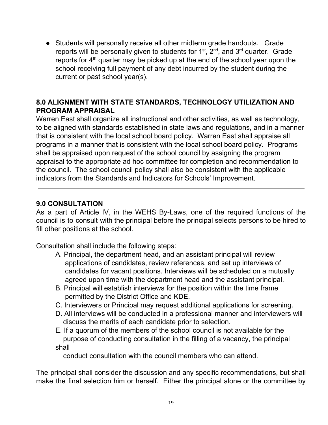• Students will personally receive all other midterm grade handouts. Grade reports will be personally given to students for  $1<sup>st</sup>$ ,  $2<sup>nd</sup>$ , and  $3<sup>rd</sup>$  quarter. Grade reports for  $4<sup>th</sup>$  quarter may be picked up at the end of the school year upon the school receiving full payment of any debt incurred by the student during the current or past school year(s).

# **8.0 ALIGNMENT WITH STATE STANDARDS, TECHNOLOGY UTILIZATION AND PROGRAM APPRAISAL**

Warren East shall organize all instructional and other activities, as well as technology, to be aligned with standards established in state laws and regulations, and in a manner that is consistent with the local school board policy. Warren East shall appraise all programs in a manner that is consistent with the local school board policy. Programs shall be appraised upon request of the school council by assigning the program appraisal to the appropriate ad hoc committee for completion and recommendation to the council. The school council policy shall also be consistent with the applicable indicators from the Standards and Indicators for Schools' Improvement.

# **9.0 CONSULTATION**

As a part of Article IV, in the WEHS By-Laws, one of the required functions of the council is to consult with the principal before the principal selects persons to be hired to fill other positions at the school.

Consultation shall include the following steps:

- A. Principal, the department head, and an assistant principal will review applications of candidates, review references, and set up interviews of candidates for vacant positions. Interviews will be scheduled on a mutually agreed upon time with the department head and the assistant principal.
- B. Principal will establish interviews for the position within the time frame permitted by the District Office and KDE.
- C. Interviewers or Principal may request additional applications for screening.
- D. All interviews will be conducted in a professional manner and interviewers will discuss the merits of each candidate prior to selection.
- E. If a quorum of the members of the school council is not available for the purpose of conducting consultation in the filling of a vacancy, the principal shall

conduct consultation with the council members who can attend.

The principal shall consider the discussion and any specific recommendations, but shall make the final selection him or herself. Either the principal alone or the committee by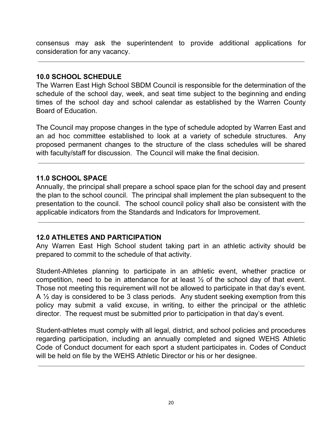consensus may ask the superintendent to provide additional applications for consideration for any vacancy.

#### **10.0 SCHOOL SCHEDULE**

The Warren East High School SBDM Council is responsible for the determination of the schedule of the school day, week, and seat time subject to the beginning and ending times of the school day and school calendar as established by the Warren County Board of Education.

The Council may propose changes in the type of schedule adopted by Warren East and an ad hoc committee established to look at a variety of schedule structures. Any proposed permanent changes to the structure of the class schedules will be shared with faculty/staff for discussion. The Council will make the final decision.

#### **11.0 SCHOOL SPACE**

Annually, the principal shall prepare a school space plan for the school day and present the plan to the school council. The principal shall implement the plan subsequent to the presentation to the council. The school council policy shall also be consistent with the applicable indicators from the Standards and Indicators for Improvement.

#### **12.0 ATHLETES AND PARTICIPATION**

Any Warren East High School student taking part in an athletic activity should be prepared to commit to the schedule of that activity.

Student-Athletes planning to participate in an athletic event, whether practice or competition, need to be in attendance for at least ½ of the school day of that event. Those not meeting this requirement will not be allowed to participate in that day's event. A 1/2 day is considered to be 3 class periods. Any student seeking exemption from this policy may submit a valid excuse, in writing, to either the principal or the athletic director. The request must be submitted prior to participation in that day's event.

Student-athletes must comply with all legal, district, and school policies and procedures regarding participation, including an annually completed and signed WEHS Athletic Code of Conduct document for each sport a student participates in. Codes of Conduct will be held on file by the WEHS Athletic Director or his or her designee.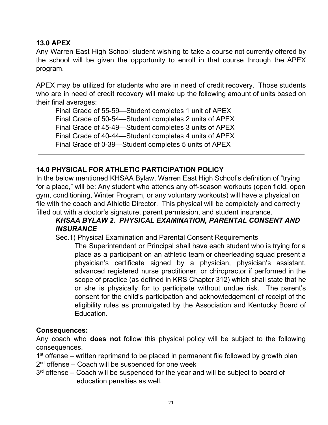#### **13.0 APEX**

Any Warren East High School student wishing to take a course not currently offered by the school will be given the opportunity to enroll in that course through the APEX program.

APEX may be utilized for students who are in need of credit recovery. Those students who are in need of credit recovery will make up the following amount of units based on their final averages:

Final Grade of 55-59—Student completes 1 unit of APEX Final Grade of 50-54—Student completes 2 units of APEX Final Grade of 45-49—Student completes 3 units of APEX Final Grade of 40-44—Student completes 4 units of APEX Final Grade of 0-39—Student completes 5 units of APEX

# **14.0 PHYSICAL FOR ATHLETIC PARTICIPATION POLICY**

In the below mentioned KHSAA Bylaw, Warren East High School's definition of "trying for a place," will be: Any student who attends any off-season workouts (open field, open gym, conditioning, Winter Program, or any voluntary workouts) will have a physical on file with the coach and Athletic Director. This physical will be completely and correctly filled out with a doctor's signature, parent permission, and student insurance.

# *KHSAA BYLAW 2. PHYSICAL EXAMINATION, PARENTAL CONSENT AND INSURANCE*

Sec.1) Physical Examination and Parental Consent Requirements

The Superintendent or Principal shall have each student who is trying for a place as a participant on an athletic team or cheerleading squad present a physician's certificate signed by a physician, physician's assistant, advanced registered nurse practitioner, or chiropractor if performed in the scope of practice (as defined in KRS Chapter 312) which shall state that he or she is physically for to participate without undue risk. The parent's consent for the child's participation and acknowledgement of receipt of the eligibility rules as promulgated by the Association and Kentucky Board of Education.

#### **Consequences:**

Any coach who **does not** follow this physical policy will be subject to the following consequences.

1<sup>st</sup> offense – written reprimand to be placed in permanent file followed by growth plan

2<sup>nd</sup> offense – Coach will be suspended for one week

3<sup>rd</sup> offense – Coach will be suspended for the year and will be subject to board of education penalties as well.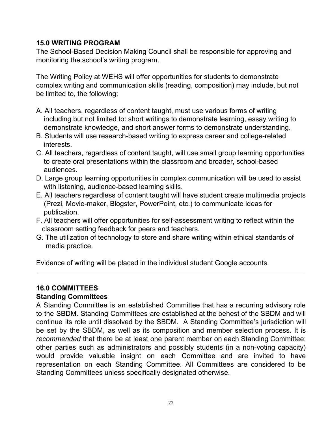#### **15.0 WRITING PROGRAM**

The School-Based Decision Making Council shall be responsible for approving and monitoring the school's writing program.

The Writing Policy at WEHS will offer opportunities for students to demonstrate complex writing and communication skills (reading, composition) may include, but not be limited to, the following:

- A. All teachers, regardless of content taught, must use various forms of writing including but not limited to: short writings to demonstrate learning, essay writing to demonstrate knowledge, and short answer forms to demonstrate understanding.
- B. Students will use research-based writing to express career and college-related interests.
- C. All teachers, regardless of content taught, will use small group learning opportunities to create oral presentations within the classroom and broader, school-based audiences.
- D. Large group learning opportunities in complex communication will be used to assist with listening, audience-based learning skills.
- E. All teachers regardless of content taught will have student create multimedia projects (Prezi, Movie-maker, Blogster, PowerPoint, etc.) to communicate ideas for publication.
- F. All teachers will offer opportunities for self-assessment writing to reflect within the classroom setting feedback for peers and teachers.
- G. The utilization of technology to store and share writing within ethical standards of media practice.

Evidence of writing will be placed in the individual student Google accounts.

#### **16.0 COMMITTEES**

#### **Standing Committees**

A Standing Committee is an established Committee that has a recurring advisory role to the SBDM. Standing Committees are established at the behest of the SBDM and will continue its role until dissolved by the SBDM. A Standing Committee's jurisdiction will be set by the SBDM, as well as its composition and member selection process. It is *recommended* that there be at least one parent member on each Standing Committee; other parties such as administrators and possibly students (in a non-voting capacity) would provide valuable insight on each Committee and are invited to have representation on each Standing Committee. All Committees are considered to be Standing Committees unless specifically designated otherwise.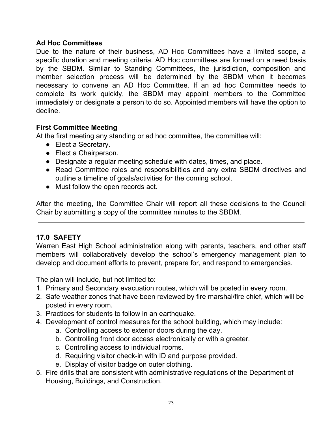#### **Ad Hoc Committees**

Due to the nature of their business, AD Hoc Committees have a limited scope, a specific duration and meeting criteria. AD Hoc committees are formed on a need basis by the SBDM. Similar to Standing Committees, the jurisdiction, composition and member selection process will be determined by the SBDM when it becomes necessary to convene an AD Hoc Committee. If an ad hoc Committee needs to complete its work quickly, the SBDM may appoint members to the Committee immediately or designate a person to do so. Appointed members will have the option to decline.

## **First Committee Meeting**

At the first meeting any standing or ad hoc committee, the committee will:

- Elect a Secretary.
- Elect a Chairperson.
- Designate a regular meeting schedule with dates, times, and place.
- Read Committee roles and responsibilities and any extra SBDM directives and outline a timeline of goals/activities for the coming school.
- Must follow the open records act.

After the meeting, the Committee Chair will report all these decisions to the Council Chair by submitting a copy of the committee minutes to the SBDM.

#### **17.0 SAFETY**

Warren East High School administration along with parents, teachers, and other staff members will collaboratively develop the school's emergency management plan to develop and document efforts to prevent, prepare for, and respond to emergencies.

The plan will include, but not limited to:

- 1. Primary and Secondary evacuation routes, which will be posted in every room.
- 2. Safe weather zones that have been reviewed by fire marshal/fire chief, which will be posted in every room.
- 3. Practices for students to follow in an earthquake.
- 4. Development of control measures for the school building, which may include:
	- a. Controlling access to exterior doors during the day.
	- b. Controlling front door access electronically or with a greeter.
	- c. Controlling access to individual rooms.
	- d. Requiring visitor check-in with ID and purpose provided.
	- e. Display of visitor badge on outer clothing.
- 5. Fire drills that are consistent with administrative regulations of the Department of Housing, Buildings, and Construction.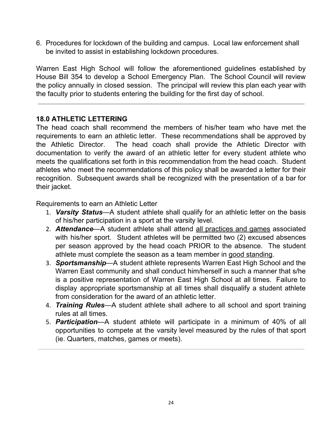6. Procedures for lockdown of the building and campus. Local law enforcement shall be invited to assist in establishing lockdown procedures.

Warren East High School will follow the aforementioned guidelines established by House Bill 354 to develop a School Emergency Plan. The School Council will review the policy annually in closed session. The principal will review this plan each year with the faculty prior to students entering the building for the first day of school.

## **18.0 ATHLETIC LETTERING**

The head coach shall recommend the members of his/her team who have met the requirements to earn an athletic letter. These recommendations shall be approved by the Athletic Director. The head coach shall provide the Athletic Director with documentation to verify the award of an athletic letter for every student athlete who meets the qualifications set forth in this recommendation from the head coach. Student athletes who meet the recommendations of this policy shall be awarded a letter for their recognition. Subsequent awards shall be recognized with the presentation of a bar for their jacket.

Requirements to earn an Athletic Letter

- 1. *Varsity Status*—A student athlete shall qualify for an athletic letter on the basis of his/her participation in a sport at the varsity level.
- 2. *Attendance*—A student athlete shall attend all practices and games associated with his/her sport. Student athletes will be permitted two (2) excused absences per season approved by the head coach PRIOR to the absence. The student athlete must complete the season as a team member in good standing.
- 3. *Sportsmanship*—A student athlete represents Warren East High School and the Warren East community and shall conduct him/herself in such a manner that s/he is a positive representation of Warren East High School at all times. Failure to display appropriate sportsmanship at all times shall disqualify a student athlete from consideration for the award of an athletic letter.
- 4. *Training Rules*—A student athlete shall adhere to all school and sport training rules at all times.
- 5. *Participation*—A student athlete will participate in a minimum of 40% of all opportunities to compete at the varsity level measured by the rules of that sport (ie. Quarters, matches, games or meets).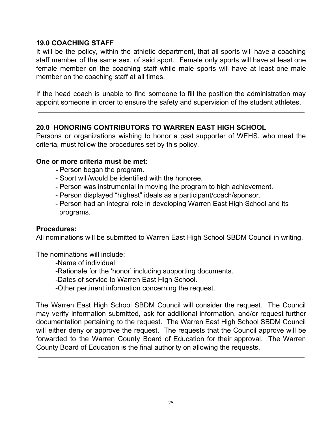#### **19.0 COACHING STAFF**

It will be the policy, within the athletic department, that all sports will have a coaching staff member of the same sex, of said sport. Female only sports will have at least one female member on the coaching staff while male sports will have at least one male member on the coaching staff at all times.

If the head coach is unable to find someone to fill the position the administration may appoint someone in order to ensure the safety and supervision of the student athletes.

## **20.0 HONORING CONTRIBUTORS TO WARREN EAST HIGH SCHOOL**

Persons or organizations wishing to honor a past supporter of WEHS, who meet the criteria, must follow the procedures set by this policy.

#### **One or more criteria must be met:**

- **-** Person began the program.
- Sport will/would be identified with the honoree.
- Person was instrumental in moving the program to high achievement.
- Person displayed "highest" ideals as a participant/coach/sponsor.
- Person had an integral role in developing Warren East High School and its programs.

#### **Procedures:**

All nominations will be submitted to Warren East High School SBDM Council in writing.

The nominations will include:

-Name of individual

- -Rationale for the 'honor' including supporting documents.
- -Dates of service to Warren East High School.
- -Other pertinent information concerning the request.

The Warren East High School SBDM Council will consider the request. The Council may verify information submitted, ask for additional information, and/or request further documentation pertaining to the request. The Warren East High School SBDM Council will either deny or approve the request. The requests that the Council approve will be forwarded to the Warren County Board of Education for their approval. The Warren County Board of Education is the final authority on allowing the requests.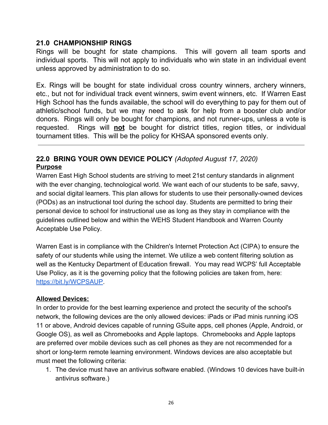#### **21.0 CHAMPIONSHIP RINGS**

Rings will be bought for state champions. This will govern all team sports and individual sports. This will not apply to individuals who win state in an individual event unless approved by administration to do so.

Ex. Rings will be bought for state individual cross country winners, archery winners, etc., but not for individual track event winners, swim event winners, etc. If Warren East High School has the funds available, the school will do everything to pay for them out of athletic/school funds, but we may need to ask for help from a booster club and/or donors. Rings will only be bought for champions, and not runner-ups, unless a vote is requested. Rings will **not** be bought for district titles, region titles, or individual tournament titles. This will be the policy for KHSAA sponsored events only.

#### **22.0 BRING YOUR OWN DEVICE POLICY** *(Adopted August 17, 2020)* **Purpose**

Warren East High School students are striving to meet 21st century standards in alignment with the ever changing, technological world. We want each of our students to be safe, savvy, and social digital learners. This plan allows for students to use their personally-owned devices (PODs) as an instructional tool during the school day. Students are permitted to bring their personal device to school for instructional use as long as they stay in compliance with the guidelines outlined below and within the WEHS Student Handbook and Warren County Acceptable Use Policy.

Warren East is in compliance with the Children's Internet Protection Act (CIPA) to ensure the safety of our students while using the internet. We utilize a web content filtering solution as well as the Kentucky Department of Education firewall. You may read WCPS' full Acceptable Use Policy, as it is the governing policy that the following policies are taken from, here: <https://bit.ly/WCPSAUP>.

#### **Allowed Devices:**

In order to provide for the best learning experience and protect the security of the school's network, the following devices are the only allowed devices: iPads or iPad minis running iOS 11 or above, Android devices capable of running GSuite apps, cell phones (Apple, Android, or Google OS), as well as Chromebooks and Apple laptops. Chromebooks and Apple laptops are preferred over mobile devices such as cell phones as they are not recommended for a short or long-term remote learning environment. Windows devices are also acceptable but must meet the following criteria:

1. The device must have an antivirus software enabled. (Windows 10 devices have built-in antivirus software.)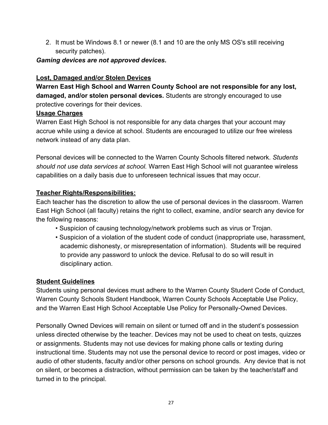2. It must be Windows 8.1 or newer (8.1 and 10 are the only MS OS's still receiving security patches).

#### *Gaming devices are not approved devices.*

# **Lost, Damaged and/or Stolen Devices**

**Warren East High School and Warren County School are not responsible for any lost, damaged, and/or stolen personal devices.** Students are strongly encouraged to use protective coverings for their devices.

# **Usage Charges**

Warren East High School is not responsible for any data charges that your account may accrue while using a device at school. Students are encouraged to utilize our free wireless network instead of any data plan.

Personal devices will be connected to the Warren County Schools filtered network. *Students should not use data services at school.* Warren East High School will not guarantee wireless capabilities on a daily basis due to unforeseen technical issues that may occur.

# **Teacher Rights/Responsibilities:**

Each teacher has the discretion to allow the use of personal devices in the classroom. Warren East High School (all faculty) retains the right to collect, examine, and/or search any device for the following reasons:

- Suspicion of causing technology/network problems such as virus or Trojan.
- Suspicion of a violation of the student code of conduct (inappropriate use, harassment, academic dishonesty, or misrepresentation of information). Students will be required to provide any password to unlock the device. Refusal to do so will result in disciplinary action.

# **Student Guidelines**

Students using personal devices must adhere to the Warren County Student Code of Conduct, Warren County Schools Student Handbook, Warren County Schools Acceptable Use Policy, and the Warren East High School Acceptable Use Policy for Personally-Owned Devices.

Personally Owned Devices will remain on silent or turned off and in the student's possession unless directed otherwise by the teacher. Devices may not be used to cheat on tests, quizzes or assignments. Students may not use devices for making phone calls or texting during instructional time. Students may not use the personal device to record or post images, video or audio of other students, faculty and/or other persons on school grounds. Any device that is not on silent, or becomes a distraction, without permission can be taken by the teacher/staff and turned in to the principal.